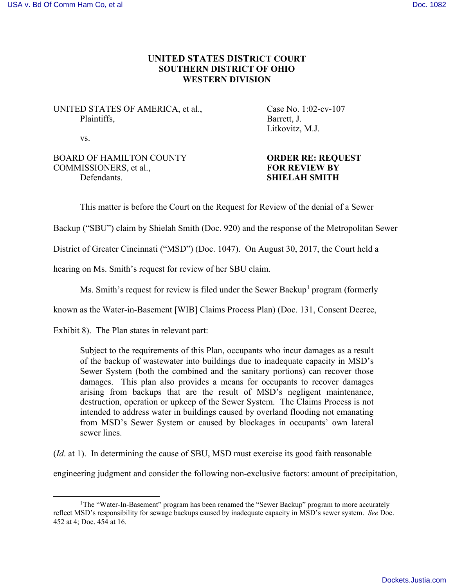## **UNITED STATES DISTRICT COURT SOUTHERN DISTRICT OF OHIO WESTERN DIVISION**

UNITED STATES OF AMERICA, et al., Case No. 1:02-cv-107 Plaintiffs, Barrett, J.

Litkovitz, M.J.

vs.

l

BOARD OF HAMILTON COUNTY<br> **COMMISSIONERS.** et al.. **FOR REVIEW BY** COMMISSIONERS, et al., Defendants. **SHIELAH SMITH**

This matter is before the Court on the Request for Review of the denial of a Sewer

Backup ("SBU") claim by Shielah Smith (Doc. 920) and the response of the Metropolitan Sewer

District of Greater Cincinnati ("MSD") (Doc. 1047). On August 30, 2017, the Court held a

hearing on Ms. Smith's request for review of her SBU claim.

Ms. Smith's request for review is filed under the Sewer Backup<sup>1</sup> program (formerly

known as the Water-in-Basement [WIB] Claims Process Plan) (Doc. 131, Consent Decree,

Exhibit 8). The Plan states in relevant part:

Subject to the requirements of this Plan, occupants who incur damages as a result of the backup of wastewater into buildings due to inadequate capacity in MSD's Sewer System (both the combined and the sanitary portions) can recover those damages. This plan also provides a means for occupants to recover damages arising from backups that are the result of MSD's negligent maintenance, destruction, operation or upkeep of the Sewer System. The Claims Process is not intended to address water in buildings caused by overland flooding not emanating from MSD's Sewer System or caused by blockages in occupants' own lateral sewer lines.

(*Id*. at 1). In determining the cause of SBU, MSD must exercise its good faith reasonable

engineering judgment and consider the following non-exclusive factors: amount of precipitation,

<sup>&</sup>lt;sup>1</sup>The "Water-In-Basement" program has been renamed the "Sewer Backup" program to more accurately reflect MSD's responsibility for sewage backups caused by inadequate capacity in MSD's sewer system. *See* Doc. 452 at 4; Doc. 454 at 16.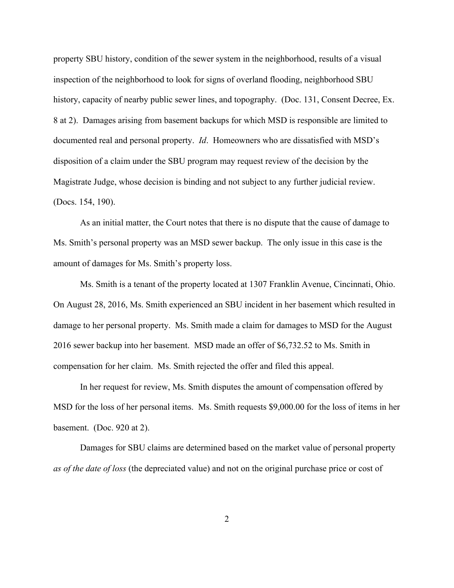property SBU history, condition of the sewer system in the neighborhood, results of a visual inspection of the neighborhood to look for signs of overland flooding, neighborhood SBU history, capacity of nearby public sewer lines, and topography. (Doc. 131, Consent Decree, Ex. 8 at 2). Damages arising from basement backups for which MSD is responsible are limited to documented real and personal property. *Id*. Homeowners who are dissatisfied with MSD's disposition of a claim under the SBU program may request review of the decision by the Magistrate Judge, whose decision is binding and not subject to any further judicial review. (Docs. 154, 190).

As an initial matter, the Court notes that there is no dispute that the cause of damage to Ms. Smith's personal property was an MSD sewer backup. The only issue in this case is the amount of damages for Ms. Smith's property loss.

Ms. Smith is a tenant of the property located at 1307 Franklin Avenue, Cincinnati, Ohio. On August 28, 2016, Ms. Smith experienced an SBU incident in her basement which resulted in damage to her personal property. Ms. Smith made a claim for damages to MSD for the August 2016 sewer backup into her basement. MSD made an offer of \$6,732.52 to Ms. Smith in compensation for her claim. Ms. Smith rejected the offer and filed this appeal.

In her request for review, Ms. Smith disputes the amount of compensation offered by MSD for the loss of her personal items. Ms. Smith requests \$9,000.00 for the loss of items in her basement. (Doc. 920 at 2).

Damages for SBU claims are determined based on the market value of personal property *as of the date of loss* (the depreciated value) and not on the original purchase price or cost of